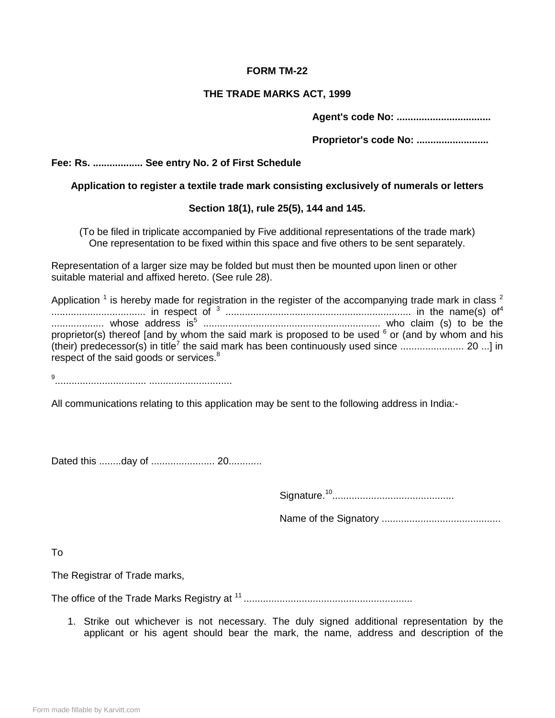### **FORM TM-22**

### **THE TRADE MARKS ACT, 1999**

**Agent's code No: ..................................**

**Proprietor's code No: ..........................**

# **Fee: Rs. .................. See entry No. 2 of First Schedule**

# **Application to register a textile trade mark consisting exclusively of numerals or letters**

# **Section 18(1), rule 25(5), 144 and 145.**

(To be filed in triplicate accompanied by Five additional representations of the trade mark) One representation to be fixed within this space and five others to be sent separately.

Representation of a larger size may be folded but must then be mounted upon linen or other suitable material and affixed hereto. (See rule 28).

| Application $1$ is hereby made for registration in the register of the accompanying trade mark in class $2$ |  |
|-------------------------------------------------------------------------------------------------------------|--|
|                                                                                                             |  |
|                                                                                                             |  |
| proprietor(s) thereof [and by whom the said mark is proposed to be used $6$ or (and by whom and his         |  |
|                                                                                                             |  |
| respect of the said goods or services. <sup>8</sup>                                                         |  |

9 ................................. ..............................

All communications relating to this application may be sent to the following address in India:-

Dated this ........day of ....................... 20............

Signature.<sup>10</sup> ............................................

Name of the Signatory ...........................................

To

The Registrar of Trade marks,

The office of the Trade Marks Registry at <sup>11</sup> .............................................................

1. Strike out whichever is not necessary. The duly signed additional representation by the applicant or his agent should bear the mark, the name, address and description of the